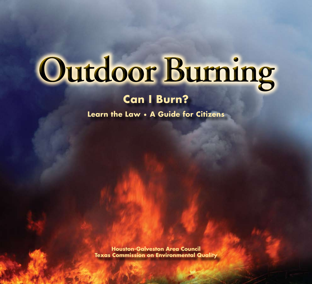# Outdoor Burning

### **Can I Burn?**

**Learn the Law • A Guide for Citizens**

**Houston-Galveston Area Council Texas Commission on Environmental Quality**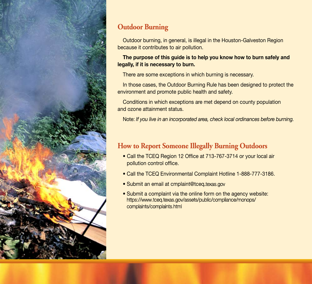

### **Outdoor Burning**

Outdoor burning, in general, is illegal in the Houston-Galveston Region because it contributes to air pollution.

### **The purpose of this guide is to help you know how to burn safely and legally, if it is necessary to burn.**

There are some exceptions in which burning is necessary.

In those cases, the Outdoor Burning Rule has been designed to protect the environment and promote public health and safety.

Conditions in which exceptions are met depend on county population and ozone attainment status.

Note: *If you live in an incorporated area, check local ordinances before burning.* 

### **How to Report Someone Illegally Burning Outdoors**

- Call the TCEQ Region 12 Office at 713-767-3714 or your local air pollution control office.
- Call the TCEQ Environmental Complaint Hotline 1-888-777-3186.
- Submit an email at [cmplaint@tceq](mailto:cmplaint@tceq.texas.gov).texas.gov
- Submit a complaint via the online form on the agency website: [https://www.tceq.texas.gov/assets/public/compliance/monops/](https://www.tceq.texas.gov/assets/public/compliance/monops/complaints/complaints.html) complaints/complaints.html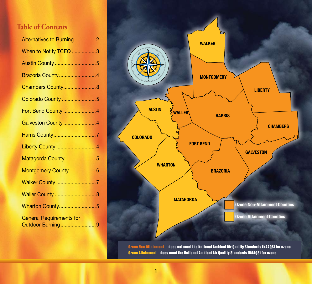### **Table of Contents**

| Alternatives to Burning2                            |  |
|-----------------------------------------------------|--|
| When to Notify TCEQ 3                               |  |
| Austin County 5                                     |  |
| Brazoria County4                                    |  |
| Chambers County8                                    |  |
| Colorado County 5                                   |  |
| Fort Bend County 4                                  |  |
| Galveston County4                                   |  |
| Harris County7                                      |  |
| Liberty County  4                                   |  |
| Matagorda County5                                   |  |
| Montgomery County 6                                 |  |
|                                                     |  |
| <b>Waller County  8</b>                             |  |
| <b>Wharton County5</b>                              |  |
| <b>General Requirements for</b><br>Outdoor Burning9 |  |
|                                                     |  |



Ozone Non-Attainment —does not meet the National Ambient Air Quality Standards (NAAQS) for ozone. Ozone Attainment—does meet the National Ambient Air Quality Standards (NAAQS) for ozone.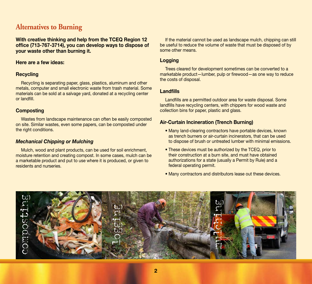### **Alternatives to Burning**

**With creative thinking and help from the TCEQ Region 12 office (713-767-3714), you can develop ways to dispose of your waste other than burning it.** 

### **Here are a few ideas:**

### **Recycling**

Recycling is separating paper, glass, plastics, aluminum and other metals, computer and small electronic waste from trash material. Some materials can be sold at a salvage yard, donated at a recycling center or landfill.

### **Composting**

Wastes from landscape maintenance can often be easily composted on site. Similar wastes, even some papers, can be composted under the right conditions.

### *Mechanical Chipping or Mulching*

Mulch, wood and plant products, can be used for soil enrichment, moisture retention and creating compost. In some cases, mulch can be a marketable product and put to use where it is produced, or given to residents and nurseries.

If the material cannot be used as landscape mulch, chipping can still be useful to reduce the volume of waste that must be disposed of by some other means.

### **Logging**

Trees cleared for development sometimes can be converted to a marketable product—lumber, pulp or firewood—as one way to reduce the costs of disposal.

### **Landfills**

Landfills are a permitted outdoor area for waste disposal. Some landfills have recycling centers, with chippers for wood waste and collection bins for paper, plastic and glass.

### **Air-Curtain Incineration (Trench Burning)**

- Many land-clearing contractors have portable devices, known as trench burners or air-curtain incinerators, that can be used to dispose of brush or untreated lumber with minimal emissions.
- These devices must be authorized by the TCEQ, prior to their construction at a burn site, and must have obtained authorizations for a state (usually a Permit by Rule) and a federal operating permit.
- Many contractors and distributors lease out these devices.

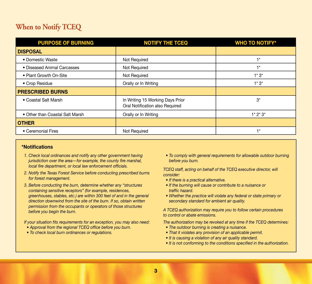### **When to Notify TCEQ**

| <b>PURPOSE OF BURNING</b>       | <b>NOTIFY THE TCEQ</b>                                              | <b>WHO TO NOTIFY*</b> |
|---------------------------------|---------------------------------------------------------------------|-----------------------|
| <b>DISPOSAL</b>                 |                                                                     |                       |
| • Domestic Waste                | Not Required                                                        | $+*$                  |
| • Diseased Animal Carcasses     | Not Required                                                        | ⊣∗                    |
| • Plant Growth On-Site          | Not Required                                                        | $1*3*$                |
| • Crop Residue                  | Orally or In Writing                                                | $1*3*$                |
| <b>PRESCRIBED BURNS</b>         |                                                                     |                       |
| • Coastal Salt Marsh            | In Writing 15 Working Days Prior<br>Oral Notification also Required | $3^*$                 |
| • Other than Coastal Salt Marsh | Orally or In Writing                                                | $1*2*3*$              |
| <b>OTHER</b>                    |                                                                     |                       |
| • Ceremonial Fires              | Not Required                                                        |                       |

### **\*Notifications**

- *1. Check local ordinances and notify any other government having jurisdiction over the area—for example, the county fire marshal, local fire department, or local law enforcement officials.*
- *2. Notify the Texas Forest Service before conducting prescribed burns for forest management.*
- *3. Before conducting the burn, determine whether any "structures containing sensitive receptors" (for example, residences, greenhouses, stables, etc.) are within 300 feet of and in the general direction downwind from the site of the burn. If so, obtain written permission from the occupants or operators of those structures before you begin the burn.*

*If your situation fits requirements for an exception, you may also need:*

- *Approval from the regional TCEQ office before you burn.*
- *To check local burn ordinances or regulations.*

*• To comply with general requirements for allowable outdoor burning before you burn.*

*TCEQ staff, acting on behalf of the TCEQ executive director, will consider:*

- *If there is a practical alternative.*
- *If the burning will cause or contribute to a nuisance or traffic hazard.*
- *Whether the practice will violate any federal or state primary or secondary standard for ambient air quality.*

*A TCEQ authorization may require you to follow certain procedures to control or abate emissions.* 

*The authorization may be revoked at any time if the TCEQ determines:*

- *The outdoor burning is creating a nuisance.*
- *That it violates any provision of an applicable permit.*
- *It is causing a violation of any air quality standard.*
- *It is not conforming to the conditions specified in the authorization.*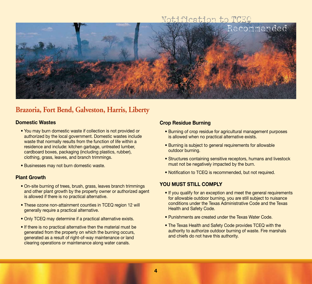### Notification to TCEQ



### **Brazoria, Fort Bend, Galveston, Harris, Liberty**

### **Domestic Wastes**

- You may burn domestic waste if collection is not provided or authorized by the local government. Domestic wastes include waste that normally results from the function of life within a residence and include: kitchen garbage, untreated lumber, cardboard boxes, packaging (including plastics, rubber), clothing, grass, leaves, and branch trimmings.
- Businesses may not burn domestic waste.

### **Plant Growth**

- On-site burning of trees, brush, grass, leaves branch trimmings and other plant growth by the property owner or authorized agent is allowed if there is no practical alternative.
- These ozone non-attainment counties in TCEQ region 12 will generally require a practical alternative.
- Only TCEQ may determine if a practical alternative exists.
- If there is no practical alternative then the material must be generated from the property on which the burning occurs, generated as a result of right-of-way maintenance or land clearing operations or maintenance along water canals.

### **Crop Residue Burning**

- Burning of crop residue for agricultural management purposes is allowed when no practical alternative exists.
- Burning is subject to general requirements for allowable outdoor burning.
- Structures containing sensitive receptors, humans and livestock must not be negatively impacted by the burn.
- Notification to TCEQ is recommended, but not required.

- If you qualify for an exception and meet the general requirements for allowable outdoor burning, you are still subject to nuisance conditions under the Texas Administrative Code and the Texas Health and Safety Code.
- Punishments are created under the Texas Water Code.
- The Texas Health and Safety Code provides TCEQ with the authority to authorize outdoor burning of waste. Fire marshals and chiefs do not have this authority.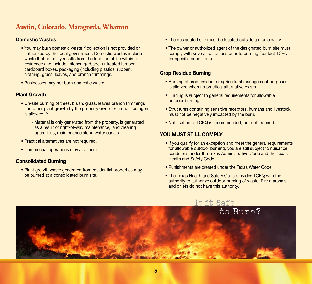### **Austin, Colorado, Matagorda, Wharton**

### **Domestic Wastes**

- You may burn domestic waste if collection is not provided or authorized by the local government. Domestic wastes include waste that normally results from the function of life within a residence and include: kitchen garbage, untreated lumber, cardboard boxes, packaging (including plastics, rubber), clothing, grass, leaves, and branch trimmings.
- Businesses may not burn domestic waste.

### **Plant Growth**

- On-site burning of trees, brush, grass, leaves branch trimmings and other plant growth by the property owner or authorized agent is allowed if:
	- Material is only generated from the property, is generated as a result of right-of-way maintenance, land clearing operations, maintenance along water canals.
- Practical alternatives are not required.
- Commercial operations may also burn.

### **Consolidated Burning**

• Plant growth waste generated from residential properties may be burned at a consolidated burn site.

- The designated site must be located outside a municipality.
- The owner or authorized agent of the designated burn site must comply with several conditions prior to burning (contact TCEQ for specific conditions).

### **Crop Residue Burning**

- Burning of crop residue for agricultural management purposes is allowed when no practical alternative exists.
- Burning is subject to general requirements for allowable outdoor burning.
- Structures containing sensitive receptors, humans and livestock must not be negatively impacted by the burn.
- Notification to TCEQ is recommended, but not required.

- If you qualify for an exception and meet the general requirements for allowable outdoor burning, you are still subject to nuisance conditions under the Texas Administrative Code and the Texas Health and Safety Code.
- Punishments are created under the Texas Water Code.
- The Texas Health and Safety Code provides TCEQ with the authority to authorize outdoor burning of waste. Fire marshals and chiefs do not have this authority.

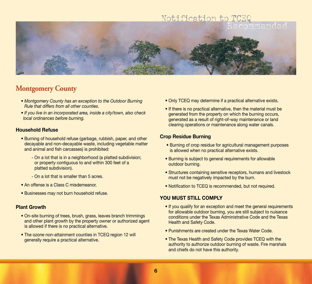

### **Montgomery County**

- *Montgomery County has an exception to the Outdoor Burning Rule that differs from all other counties.*
- *If you live in an incorporated area, inside a city/town, also check local ordinances before burning.*

### **Household Refuse**

- Burning of household refuse (garbage, rubbish, paper, and other decayable and non-decayable waste, including vegetable matter and animal and fish carcasses) is prohibited:
	- On a lot that is in a neighborhood (a platted subdivision; or property contiguous to and within 300 feet of a platted subdivision).
	- On a lot that is smaller than 5 acres.
- An offense is a Class C misdemeanor.
- Businesses may not burn household refuse.

### **Plant Growth**

- On-site burning of trees, brush, grass, leaves branch trimmings and other plant growth by the property owner or authorized agent is allowed if there is no practical alternative.
- The ozone non-attainment counties in TCEQ region 12 will generally require a practical alternative.
- Only TCEQ may determine if a practical alternative exists.
- If there is no practical alternative, then the material must be generated from the property on which the burning occurs, generated as a result of right-of-way maintenance or land clearing operations or maintenance along water canals.

### **Crop Residue Burning**

- Burning of crop residue for agricultural management purposes is allowed when no practical alternative exists.
- Burning is subject to general requirements for allowable outdoor burning.
- Structures containing sensitive receptors, humans and livestock must not be negatively impacted by the burn.
- Notification to TCEQ is recommended, but not required.

- If you qualify for an exception and meet the general requirements for allowable outdoor burning, you are still subject to nuisance conditions under the Texas Administrative Code and the Texas Health and Safety Code.
- Punishments are created under the Texas Water Code.
- The Texas Health and Safety Code provides TCEQ with the authority to authorize outdoor burning of waste. Fire marshals and chiefs do not have this authority.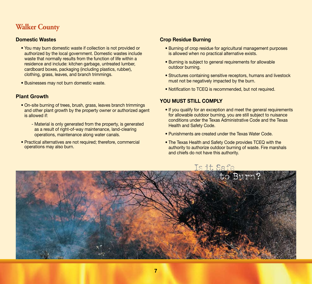### **Walker County**

### **Domestic Wastes**

- You may burn domestic waste if collection is not provided or authorized by the local government. Domestic wastes include waste that normally results from the function of life within a residence and include: kitchen garbage, untreated lumber, cardboard boxes, packaging (including plastics, rubber), clothing, grass, leaves, and branch trimmings.
- Businesses may not burn domestic waste.

### **Plant Growth**

- On-site burning of trees, brush, grass, leaves branch trimmings and other plant growth by the property owner or authorized agent is allowed if:
	- Material is only generated from the property, is generated as a result of right-of-way maintenance, land-clearing operations, maintenance along water canals.
- Practical alternatives are not required; therefore, commercial operations may also burn.

### **Crop Residue Burning**

- Burning of crop residue for agricultural management purposes is allowed when no practical alternative exists.
- Burning is subject to general requirements for allowable outdoor burning.
- Structures containing sensitive receptors, humans and livestock must not be negatively impacted by the burn.
- Notification to TCEQ is recommended, but not required.

- If you qualify for an exception and meet the general requirements for allowable outdoor burning, you are still subject to nuisance conditions under the Texas Administrative Code and the Texas Health and Safety Code.
- Punishments are created under the Texas Water Code.
- The Texas Health and Safety Code provides TCEQ with the authority to authorize outdoor burning of waste. Fire marshals and chiefs do not have this authority.

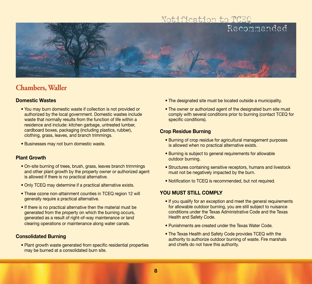## Notification to TCEQ Recommended

### **Chambers, Waller**

### **Domestic Wastes**

- You may burn domestic waste if collection is not provided or authorized by the local government. Domestic wastes include waste that normally results from the function of life within a residence and include: kitchen garbage, untreated lumber, cardboard boxes, packaging (including plastics, rubber), clothing, grass, leaves, and branch trimmings.
- Businesses may not burn domestic waste.

### **Plant Growth**

- On-site burning of trees, brush, grass, leaves branch trimmings and other plant growth by the property owner or authorized agent is allowed if there is no practical alternative.
- Only TCEQ may determine if a practical alternative exists.
- These ozone non-attainment counties in TCEQ region 12 will generally require a practical alternative.
- If there is no practical alternative then the material must be generated from the property on which the burning occurs, generated as a result of right-of-way maintenance or land clearing operations or maintenance along water canals.

### **Consolidated Burning**

• Plant growth waste generated from specific residential properties may be burned at a consolidated burn site.

- The designated site must be located outside a municipality.
- The owner or authorized agent of the designated burn site must comply with several conditions prior to burning (contact TCEQ for specific conditions).

### **Crop Residue Burning**

- Burning of crop residue for agricultural management purposes is allowed when no practical alternative exists.
- Burning is subject to general requirements for allowable outdoor burning.
- Structures containing sensitive receptors, humans and livestock must not be negatively impacted by the burn.
- Notification to TCEQ is recommended, but not required.

- If you qualify for an exception and meet the general requirements for allowable outdoor burning, you are still subject to nuisance conditions under the Texas Administrative Code and the Texas Health and Safety Code.
- Punishments are created under the Texas Water Code.
- The Texas Health and Safety Code provides TCEQ with the authority to authorize outdoor burning of waste. Fire marshals and chiefs do not have this authority.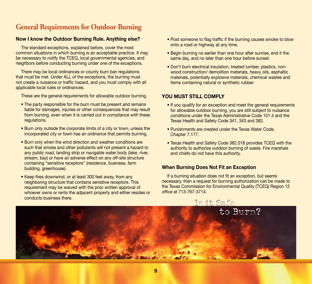### **General Requirements for Outdoor Burning**

### **Now I know the Outdoor Burning Rule. Anything else?**

The standard exceptions, explained before, cover the most common situations in which burning is an acceptable practice. It may be necessary to notify the TCEQ, local governmental agencies, and neighbors before conducting burning under one of the exceptions.

There may be local ordinances or county burn ban regulations that must be met. Under ALL of the exceptions, the burning must not create a nuisance or traffic hazard, and you must comply with all applicable local rules or ordinances.

These are the general requirements for allowable outdoor burning.

- The party responsible for the burn must be present and remains liable for damages, injuries or other consequences that may result from burning, even when it is carried out in compliance with these regulations.
- Burn only outside the corporate limits of a city or town, unless the incorporated city or town has an ordinance that permits burning.
- Burn only when the wind direction and weather conditions are such that smoke and other pollutants will not present a hazard to any public road, landing strip or navigable water body (lake, river, stream, bay) or have an adverse effect on any off-site structure containing "sensitive receptors" (residence, business, farm building, greenhouse).
- Keep fires downwind, or at least 300 feet away, from any neighboring structure that contains sensitive receptors. This requirement may be waived with the prior written approval of whoever owns or rents the adjacent property and either resides or conducts business there.
- Post someone to flag traffic if the burning causes smoke to blow onto a road or highway at any time.
- Begin burning no earlier than one hour after sunrise, end it the same day, and no later than one hour before sunset.
- Don't burn electrical insulation, treated lumber, plastics, nonwood construction/ demolition materials, heavy oils, asphaltic materials, potentially explosive materials, chemical wastes and items containing natural or synthetic rubber.

### **You Must Still Comply**

- If you qualify for an exception and meet the general requirements for allowable outdoor burning, you are still subject to nuisance conditions under the Texas Administrative Code 101.4 and the Texas Health and Safety Code 341, 343 and 382.
- Punishments are created under the Texas Water Code, Chapter 7.177.
- Texas Health and Safety Code 382.018 provides TCEQ with the authority to authorize outdoor burning of waste. Fire marshals and chiefs do not have this authority.

### **When Burning Does Not Fit an Exception**

If a burning situation does not fit an exception, but seems necessary, then a request for burning authorization can be made to the Texas Commission for Environmental Quality (TCEQ) Region 12 office at 713-767-3714.